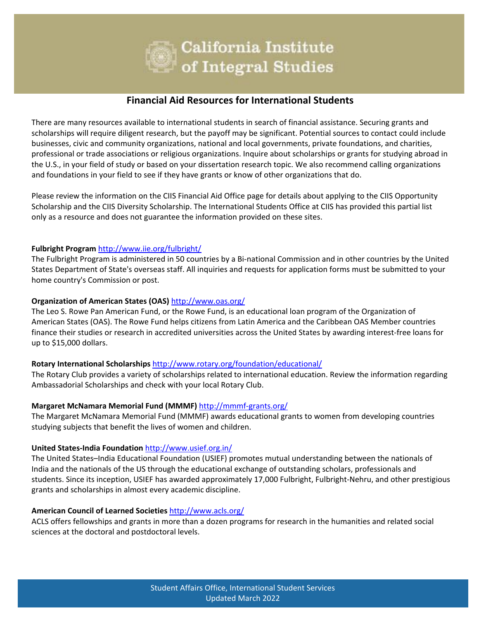

# **Financial Aid Resources for International Students**

There are many resources available to international students in search of financial assistance. Securing grants and scholarships will require diligent research, but the payoff may be significant. Potential sources to contact could include businesses, civic and community organizations, national and local governments, private foundations, and charities, professional or trade associations or religious organizations. Inquire about scholarships or grants for studying abroad in the U.S., in your field of study or based on your dissertation research topic. We also recommend calling organizations and foundations in your field to see if they have grants or know of other organizations that do.

Please review the information on the CIIS Financial Aid Office page for details about applying to the CIIS Opportunity Scholarship and the CIIS Diversity Scholarship. The International Students Office at CIIS has provided this partial list only as a resource and does not guarantee the information provided on these sites.

#### **Fulbright Program** <http://www.iie.org/fulbright/>

The Fulbright Program is administered in 50 countries by a Bi-national Commission and in other countries by the United States Department of State's overseas staff. All inquiries and requests for application forms must be submitted to your home country's Commission or post.

#### **Organization of American States (OAS)** <http://www.oas.org/>

The Leo S. Rowe Pan American Fund, or the Rowe Fund, is an educational loan program of the Organization of American States (OAS). The Rowe Fund helps citizens from Latin America and the Caribbean OAS Member countries finance their studies or research in accredited universities across the United States by awarding interest-free loans for up to \$15,000 dollars.

#### **Rotary International Scholarships** <http://www.rotary.org/foundation/educational/>

The Rotary Club provides a variety of scholarships related to international education. Review the information regarding Ambassadorial Scholarships and check with your local Rotary Club.

#### **Margaret McNamara Memorial Fund (MMMF)** <http://mmmf-grants.org/>

The Margaret McNamara Memorial Fund (MMMF) awards educational grants to women from developing countries studying subjects that benefit the lives of women and children.

#### **United States-India Foundation** <http://www.usief.org.in/>

The United States–India Educational Foundation (USIEF) promotes mutual understanding between the nationals of India and the nationals of the US through the educational exchange of outstanding scholars, professionals and students. Since its inception, USIEF has awarded approximately 17,000 Fulbright, Fulbright-Nehru, and other prestigious grants and scholarships in almost every academic discipline.

#### **American Council of Learned Societies** <http://www.acls.org/>

ACLS offers fellowships and grants in more than a dozen programs for research in the humanities and related social sciences at the doctoral and postdoctoral levels.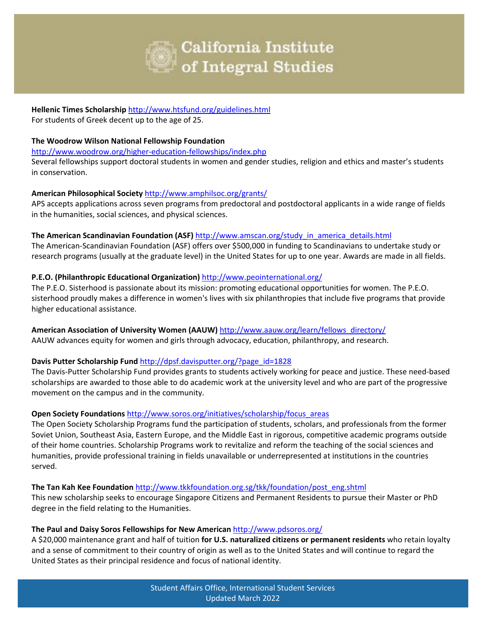

#### **Hellenic Times Scholarship** <http://www.htsfund.org/guidelines.html> For students of Greek decent up to the age of 25.

#### **The Woodrow Wilson National Fellowship Foundation**

<http://www.woodrow.org/higher-education-fellowships/index.php>

Several fellowships support doctoral students in women and gender studies, religion and ethics and master's students in conservation.

# **American Philosophical Society** <http://www.amphilsoc.org/grants/>

APS accepts applications across seven programs from predoctoral and postdoctoral applicants in a wide range of fields in the humanities, social sciences, and physical sciences.

# **The American Scandinavian Foundation (ASF)** [http://www.amscan.org/study\\_in\\_america\\_details.html](http://www.amscan.org/study_in_america_details.html)

The American-Scandinavian Foundation (ASF) offers over \$500,000 in funding to Scandinavians to undertake study or research programs (usually at the graduate level) in the United States for up to one year. Awards are made in all fields.

# **P.E.O. (Philanthropic Educational Organization)** <http://www.peointernational.org/>

The P.E.O. Sisterhood is passionate about its mission: promoting educational opportunities for women. The P.E.O. sisterhood proudly makes a difference in women's lives with six philanthropies that include five programs that provide higher educational assistance.

#### **American Association of University Women (AAUW)** [http://www.aauw.org/learn/fellows\\_directory/](http://www.aauw.org/learn/fellows_directory/) AAUW advances equity for women and girls through advocacy, education, philanthropy, and research.

# **Davis Putter Scholarship Fund** [http://dpsf.davisputter.org/?page\\_id=1828](http://dpsf.davisputter.org/?page_id=1828)

The Davis-Putter Scholarship Fund provides grants to students actively working for peace and justice. These need-based scholarships are awarded to those able to do academic work at the university level and who are part of the progressive movement on the campus and in the community.

# **Open Society Foundations** [http://www.soros.org/initiatives/scholarship/focus\\_areas](http://www.soros.org/initiatives/scholarship/focus_areas)

The Open Society Scholarship Programs fund the participation of students, scholars, and professionals from the former Soviet Union, Southeast Asia, Eastern Europe, and the Middle East in rigorous, competitive academic programs outside of their home countries. Scholarship Programs work to revitalize and reform the teaching of the social sciences and humanities, provide professional training in fields unavailable or underrepresented at institutions in the countries served.

#### **The Tan Kah Kee Foundation** [http://www.tkkfoundation.org.sg/tkk/foundation/post\\_eng.shtml](http://www.tkkfoundation.org.sg/tkk/foundation/post_eng.shtml)

This new scholarship seeks to encourage Singapore Citizens and Permanent Residents to pursue their Master or PhD degree in the field relating to the Humanities.

#### **The Paul and Daisy Soros Fellowships for New American** <http://www.pdsoros.org/>

A \$20,000 maintenance grant and half of tuition **for U.S. naturalized citizens or permanent residents** who retain loyalty and a sense of commitment to their country of origin as well as to the United States and will continue to regard the United States as their principal residence and focus of national identity.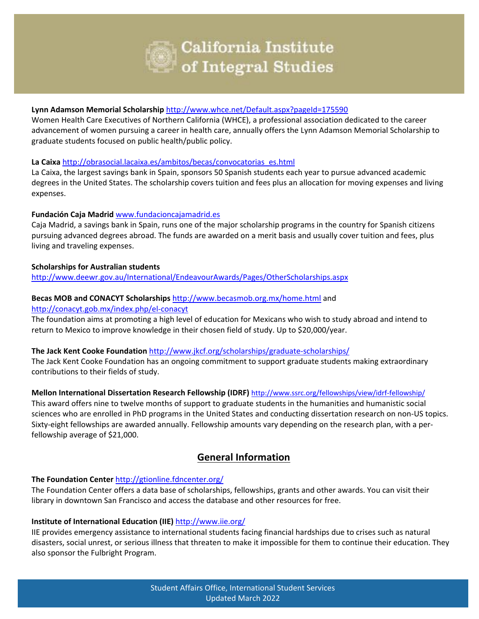

# **Lynn Adamson Memorial Scholarship** <http://www.whce.net/Default.aspx?pageId=175590>

Women Health Care Executives of Northern California (WHCE), a professional association dedicated to the career advancement of women pursuing a career in health care, annually offers the Lynn Adamson Memorial Scholarship to graduate students focused on public health/public policy.

#### **La Caixa** [http://obrasocial.lacaixa.es/ambitos/becas/convocatorias\\_es.html](http://obrasocial.lacaixa.es/ambitos/becas/convocatorias_es.html)

La Caixa, the largest savings bank in Spain, sponsors 50 Spanish students each year to pursue advanced academic degrees in the United States. The scholarship covers tuition and fees plus an allocation for moving expenses and living expenses.

# **Fundación Caja Madrid** [www.fundacioncajamadrid.es](http://www.fundacioncajamadrid.es/Fundacion/Comunes/fun_cruce)

Caja Madrid, a savings bank in Spain, runs one of the major scholarship programs in the country for Spanish citizens pursuing advanced degrees abroad. The funds are awarded on a merit basis and usually cover tuition and fees, plus living and traveling expenses.

# **Scholarships for Australian students**

<http://www.deewr.gov.au/International/EndeavourAwards/Pages/OtherScholarships.aspx>

# **Becas MOB and CONACYT Scholarships** <http://www.becasmob.org.mx/home.html> and

#### <http://conacyt.gob.mx/index.php/el-conacyt>

The foundation aims at promoting a high level of education for Mexicans who wish to study abroad and intend to return to Mexico to improve knowledge in their chosen field of study. Up to \$20,000/year.

#### **The Jack Kent Cooke Foundation** <http://www.jkcf.org/scholarships/graduate-scholarships/>

The Jack Kent Cooke Foundation has an ongoing commitment to support graduate students making extraordinary contributions to their fields of study.

#### **Mellon International Dissertation Research Fellowship (IDRF)** <http://www.ssrc.org/fellowships/view/idrf-fellowship/>

This award offers nine to twelve months of support to graduate students in the humanities and humanistic social sciences who are enrolled in PhD programs in the United States and conducting dissertation research on non-US topics. Sixty-eight fellowships are awarded annually. Fellowship amounts vary depending on the research plan, with a perfellowship average of \$21,000.

# **General Information**

#### **The Foundation Center** <http://gtionline.fdncenter.org/>

The Foundation Center offers a data base of scholarships, fellowships, grants and other awards. You can visit their library in downtown San Francisco and access the database and other resources for free.

# **Institute of International Education (IIE)** <http://www.iie.org/>

IIE provides emergency assistance to international students facing financial hardships due to crises such as natural disasters, social unrest, or serious illness that threaten to make it impossible for them to continue their education. They also sponsor the Fulbright Program.